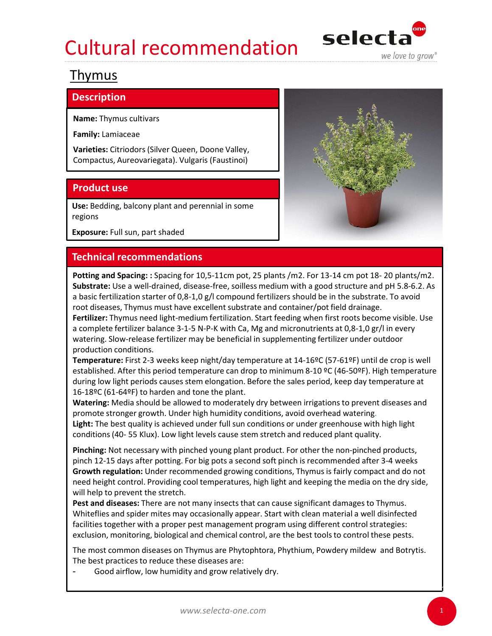# Cultural recommendation selecta



# Thymus

## **Description**

Name: Thymus cultivars

Family: Lamiaceae

Compactus, Aureovariegata). Vulgaris (Faustinoi)

Use: Bedding, balcony plant and perennial in some regions

Exposure: Full sun, part shaded



**Thymus**<br> **Name:** Thymus cultivars<br> **Family:** Lamiaceae<br> **Varieties:** Citriodors (Silver Queen, Doone Valley,<br> **Compactus, Aureovariegata). Vulgaris (Faustinoi)<br>
<b>Product use**<br> **Use:** Bedding, balcony plant and perennial i **Inlymus**<br> **Name:** Thymus cultivars<br> **Family:** Lamiaceae<br> **Varieties:** Citriodors (Silver Queen, Doone Valley,<br> **Compactus, Aureovariegata).** Vulgaris (Faustinoi)<br> **Product use**<br> **Product use**<br> **Product use and Spacing:** : Substrate: Use a well-drained, disease-free, soilless medium with a good structure and pH 5.8-6.2. As a basic fertilization starter of 0,8-1,0 g/l compound fertilizers should be in the substrate. To avoid root diseases, Thymus must have excellent substrate and container/pot field drainage. Fertilizer: Thymus need light-medium fertilization. Start feeding when first roots become visible. Use a complete fertilizer balance 3-1-5 N-P-K with Ca, Mg and micronutrients at 0,8-1,0 gr/l in every watering. Slow-release fertilizer may be beneficial in supplementing fertilizer under outdoor production conditions. **Technical recommendations**<br> **Technical recommendations**<br> **Potting and Spacing:** Spacing for 10,5-11cm pot, 25 plants/m2. For 13-14 cm pot 18- 20 plants/m2.<br> **Substrat**e: Use a well-drained, disease-free, soilless medium w **Potting and Spacing** for 10.5-11cm pot, 25 plants /m2. For 13-14 cm pot 18- 20 plants/m2.<br>**Substrate:** Use a well-drained, disease-free, soilless medium with a good structure and pH 5.8-6.2. As<br>a basic fertilization start Potting and Spacing: : Spacing for 10.5-11cm pot, 25 plants/m2. For 13-14 cm pot 18-20 plants/m2.<br>Substrate: Use a well-drained, disease-free, soilless medium with a good structure and pH 5.8-6.2. As<br>a basic fertilization

Temperature: First 2-3 weeks keep night/day temperature at 14-16ºC (57-61ºF) until de crop is well established. After this period temperature can drop to minimum 8-10 ºC (46-50ºF). High temperature during low light periods causes stem elongation. Before the sales period, keep day temperature at 16-18ºC (61-64ºF) to harden and tone the plant.

Watering: Media should be allowed to moderately dry between irrigations to prevent diseases and promote stronger growth. Under high humidity conditions, avoid overhead watering. Light: The best quality is achieved under full sun conditions or under greenhouse with high light

Pinching: Not necessary with pinched young plant product. For other the non-pinched products, need height control. Providing cool temperatures, high light and keeping the media on the dry side, will help to prevent the stretch. Fertilizer: Thymus need light-medium fertilization. Start feeding when first roots become visible. Use<br>a complete fertilizer balance 3-15-NP-A with Ca, Mg and micronutrients at 0,8-1,0 g/l in every<br>production conditions.<br>T production conditions.<br>Temperature: First 2-3 weeks keep night/day temperature at 14-16°C (57-61°F) until de crop is well<br>established. After this period temperature can drop to minimum 8-10 °C (46-50°F). High temperature<br>d

Pest and diseases: There are not many insects that can cause significant damages to Thymus. facilities together with a proper pest management program using different control strategies: exclusion, monitoring, biological and chemical control, are the best tools to control these pests.

The best practices to reduce these diseases are:

Good airflow, low humidity and grow relatively dry.

1